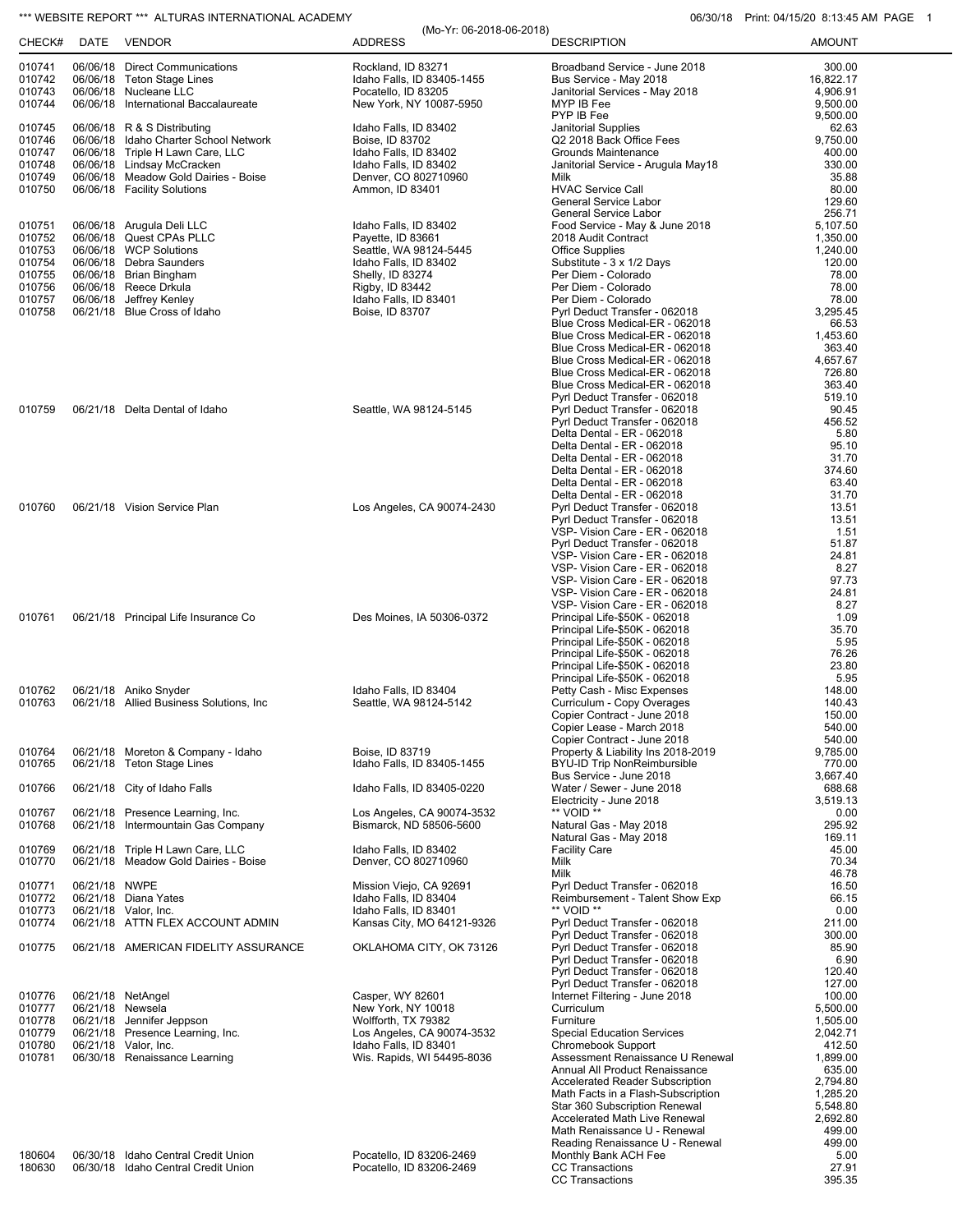## \*\*\* WEBSITE REPORT \*\*\* ALTURAS INTERNATIONAL ACADEMY 06/30/18 Print: 04/15/20 8:13:45 AM PAGE 1

|                  |                  |                                                                  | (Mo-Yr: 06-2018-06-2018)                      |                                                                   | <u>IIIII. UTIIVILU U.IU.TUINIIII</u> |
|------------------|------------------|------------------------------------------------------------------|-----------------------------------------------|-------------------------------------------------------------------|--------------------------------------|
| CHECK#           |                  | DATE VENDOR                                                      | <b>ADDRESS</b>                                | <b>DESCRIPTION</b>                                                | <b>AMOUNT</b>                        |
| 010741           |                  | 06/06/18 Direct Communications                                   | Rockland, ID 83271                            | Broadband Service - June 2018                                     | 300.00                               |
| 010742           |                  | 06/06/18 Teton Stage Lines                                       | Idaho Falls, ID 83405-1455                    | Bus Service - May 2018                                            | 16,822.17                            |
| 010743           |                  | 06/06/18 Nucleane LLC                                            | Pocatello, ID 83205                           | Janitorial Services - May 2018                                    | 4,906.91                             |
| 010744           |                  | 06/06/18 International Baccalaureate                             | New York, NY 10087-5950                       | MYP IB Fee                                                        | 9,500.00                             |
|                  |                  |                                                                  |                                               | PYP IB Fee                                                        | 9,500.00                             |
| 010745           |                  | 06/06/18 R & S Distributing                                      | Idaho Falls, ID 83402                         | Janitorial Supplies                                               | 62.63                                |
| 010746           |                  | 06/06/18 Idaho Charter School Network                            | Boise, ID 83702                               | Q2 2018 Back Office Fees                                          | 9,750.00                             |
| 010747           |                  | 06/06/18 Triple H Lawn Care, LLC                                 | Idaho Falls, ID 83402                         | Grounds Maintenance                                               | 400.00                               |
| 010748           |                  | 06/06/18 Lindsay McCracken                                       | Idaho Falls, ID 83402                         | Janitorial Service - Arugula May18                                | 330.00                               |
| 010749           |                  | 06/06/18 Meadow Gold Dairies - Boise                             | Denver, CO 802710960                          | Milk                                                              | 35.88                                |
| 010750           |                  | 06/06/18 Facility Solutions                                      | Ammon, ID 83401                               | <b>HVAC Service Call</b><br>General Service Labor                 | 80.00<br>129.60                      |
|                  |                  |                                                                  |                                               | <b>General Service Labor</b>                                      | 256.71                               |
| 010751           |                  | 06/06/18 Arugula Deli LLC                                        | Idaho Falls, ID 83402                         | Food Service - May & June 2018                                    | 5,107.50                             |
| 010752           |                  | 06/06/18 Quest CPAs PLLC                                         | Payette, ID 83661                             | 2018 Audit Contract                                               | 1,350.00                             |
| 010753           |                  | 06/06/18 WCP Solutions                                           | Seattle, WA 98124-5445                        | <b>Office Supplies</b>                                            | 1,240.00                             |
| 010754           |                  | 06/06/18 Debra Saunders                                          | Idaho Falls, ID 83402                         | Substitute - 3 x 1/2 Days                                         | 120.00                               |
| 010755           |                  | 06/06/18 Brian Bingham                                           | Shelly, ID 83274                              | Per Diem - Colorado                                               | 78.00                                |
| 010756           |                  | 06/06/18 Reece Drkula                                            | Rigby, ID 83442                               | Per Diem - Colorado                                               | 78.00                                |
| 010757           |                  | 06/06/18 Jeffrey Kenley                                          | Idaho Falls, ID 83401                         | Per Diem - Colorado                                               | 78.00                                |
| 010758           |                  | 06/21/18 Blue Cross of Idaho                                     | Boise, ID 83707                               | Pyrl Deduct Transfer - 062018                                     | 3,295.45                             |
|                  |                  |                                                                  |                                               | Blue Cross Medical-ER - 062018                                    | 66.53                                |
|                  |                  |                                                                  |                                               | Blue Cross Medical-ER - 062018<br>Blue Cross Medical-ER - 062018  | 1,453.60<br>363.40                   |
|                  |                  |                                                                  |                                               | Blue Cross Medical-ER - 062018                                    | 4,657.67                             |
|                  |                  |                                                                  |                                               | Blue Cross Medical-ER - 062018                                    | 726.80                               |
|                  |                  |                                                                  |                                               | Blue Cross Medical-ER - 062018                                    | 363.40                               |
|                  |                  |                                                                  |                                               | Pyrl Deduct Transfer - 062018                                     | 519.10                               |
| 010759           |                  | 06/21/18 Delta Dental of Idaho                                   | Seattle, WA 98124-5145                        | Pyrl Deduct Transfer - 062018                                     | 90.45                                |
|                  |                  |                                                                  |                                               | Pyrl Deduct Transfer - 062018                                     | 456.52                               |
|                  |                  |                                                                  |                                               | Delta Dental - ER - 062018                                        | 5.80                                 |
|                  |                  |                                                                  |                                               | Delta Dental - ER - 062018                                        | 95.10                                |
|                  |                  |                                                                  |                                               | Delta Dental - ER - 062018                                        | 31.70                                |
|                  |                  |                                                                  |                                               | Delta Dental - ER - 062018                                        | 374.60                               |
|                  |                  |                                                                  |                                               | Delta Dental - ER - 062018                                        | 63.40                                |
| 010760           |                  | 06/21/18 Vision Service Plan                                     | Los Angeles, CA 90074-2430                    | Delta Dental - ER - 062018<br>Pyrl Deduct Transfer - 062018       | 31.70<br>13.51                       |
|                  |                  |                                                                  |                                               | Pyrl Deduct Transfer - 062018                                     | 13.51                                |
|                  |                  |                                                                  |                                               | VSP- Vision Care - ER - 062018                                    | 1.51                                 |
|                  |                  |                                                                  |                                               | Pyrl Deduct Transfer - 062018                                     | 51.87                                |
|                  |                  |                                                                  |                                               | VSP- Vision Care - ER - 062018                                    | 24.81                                |
|                  |                  |                                                                  |                                               | VSP- Vision Care - ER - 062018                                    | 8.27                                 |
|                  |                  |                                                                  |                                               | VSP- Vision Care - ER - 062018                                    | 97.73                                |
|                  |                  |                                                                  |                                               | VSP- Vision Care - ER - 062018                                    | 24.81                                |
|                  |                  |                                                                  |                                               | VSP- Vision Care - ER - 062018                                    | 8.27                                 |
| 010761           |                  | 06/21/18 Principal Life Insurance Co                             | Des Moines, IA 50306-0372                     | Principal Life-\$50K - 062018                                     | 1.09                                 |
|                  |                  |                                                                  |                                               | Principal Life-\$50K - 062018<br>Principal Life-\$50K - 062018    | 35.70<br>5.95                        |
|                  |                  |                                                                  |                                               | Principal Life-\$50K - 062018                                     | 76.26                                |
|                  |                  |                                                                  |                                               | Principal Life-\$50K - 062018                                     | 23.80                                |
|                  |                  |                                                                  |                                               | Principal Life-\$50K - 062018                                     | 5.95                                 |
| 010762           |                  | 06/21/18 Aniko Snyder                                            | Idaho Falls. ID 83404                         | Petty Cash - Misc Expenses                                        | 148.00                               |
| 010763           |                  | 06/21/18 Allied Business Solutions, Inc.                         | Seattle, WA 98124-5142                        | Curriculum - Copy Overages                                        | 140.43                               |
|                  |                  |                                                                  |                                               | Copier Contract - June 2018                                       | 150.00                               |
|                  |                  |                                                                  |                                               | Copier Lease - March 2018                                         | 540.00                               |
|                  |                  |                                                                  |                                               | Copier Contract - June 2018                                       | 540.00                               |
| 010764<br>010765 |                  | 06/21/18 Moreton & Company - Idaho<br>06/21/18 Teton Stage Lines | Boise, ID 83719<br>Idaho Falls. ID 83405-1455 | Property & Liability Ins 2018-2019<br>BYU-ID Trip NonReimbursible | 9,785.00<br>770.00                   |
|                  |                  |                                                                  |                                               | Bus Service - June 2018                                           | 3,667.40                             |
| 010766           |                  | 06/21/18 City of Idaho Falls                                     | Idaho Falls, ID 83405-0220                    | Water / Sewer - June 2018                                         | 688.68                               |
|                  |                  |                                                                  |                                               | Electricity - June 2018                                           | 3.519.13                             |
| 010767           |                  | 06/21/18 Presence Learning, Inc.                                 | Los Angeles, CA 90074-3532                    | ** VOID **                                                        | 0.00                                 |
| 010768           |                  | 06/21/18 Intermountain Gas Company                               | Bismarck, ND 58506-5600                       | Natural Gas - May 2018                                            | 295.92                               |
|                  |                  |                                                                  |                                               | Natural Gas - May 2018                                            | 169.11                               |
| 010769           |                  | 06/21/18 Triple H Lawn Care, LLC                                 | Idaho Falls. ID 83402                         | <b>Facility Care</b>                                              | 45.00                                |
| 010770           |                  | 06/21/18 Meadow Gold Dairies - Boise                             | Denver, CO 802710960                          | Milk                                                              | 70.34                                |
| 010771           | 06/21/18 NWPE    |                                                                  | Mission Viejo, CA 92691                       | Milk<br>Pyrl Deduct Transfer - 062018                             | 46.78<br>16.50                       |
| 010772           |                  | 06/21/18 Diana Yates                                             | Idaho Falls, ID 83404                         | Reimbursement - Talent Show Exp                                   | 66.15                                |
| 010773           |                  | 06/21/18 Valor, Inc.                                             | Idaho Falls, ID 83401                         | ** VOID **                                                        | 0.00                                 |
| 010774           |                  | 06/21/18 ATTN FLEX ACCOUNT ADMIN                                 | Kansas City, MO 64121-9326                    | Pyrl Deduct Transfer - 062018                                     | 211.00                               |
|                  |                  |                                                                  |                                               | Pyrl Deduct Transfer - 062018                                     | 300.00                               |
| 010775           |                  | 06/21/18 AMERICAN FIDELITY ASSURANCE                             | OKLAHOMA CITY, OK 73126                       | Pyrl Deduct Transfer - 062018                                     | 85.90                                |
|                  |                  |                                                                  |                                               | Pyrl Deduct Transfer - 062018                                     | 6.90                                 |
|                  |                  |                                                                  |                                               | Pyrl Deduct Transfer - 062018                                     | 120.40                               |
|                  |                  |                                                                  |                                               | Pyrl Deduct Transfer - 062018                                     | 127.00                               |
| 010776<br>010777 | 06/21/18 Newsela | 06/21/18 NetAngel                                                | Casper, WY 82601<br>New York, NY 10018        | Internet Filtering - June 2018<br>Curriculum                      | 100.00<br>5,500.00                   |
| 010778           |                  | 06/21/18 Jennifer Jeppson                                        | Wolfforth, TX 79382                           | Furniture                                                         | 1,505.00                             |
| 010779           |                  | 06/21/18 Presence Learning, Inc.                                 | Los Angeles, CA 90074-3532                    | <b>Special Education Services</b>                                 | 2,042.71                             |
| 010780           |                  | 06/21/18 Valor, Inc.                                             | Idaho Falls, ID 83401                         | Chromebook Support                                                | 412.50                               |
| 010781           |                  | 06/30/18 Renaissance Learning                                    | Wis. Rapids, WI 54495-8036                    | Assessment Renaissance U Renewal                                  | 1,899.00                             |
|                  |                  |                                                                  |                                               | Annual All Product Renaissance                                    | 635.00                               |
|                  |                  |                                                                  |                                               | <b>Accelerated Reader Subscription</b>                            | 2,794.80                             |
|                  |                  |                                                                  |                                               | Math Facts in a Flash-Subscription                                | 1,285.20                             |
|                  |                  |                                                                  |                                               | Star 360 Subscription Renewal                                     | 5,548.80                             |
|                  |                  |                                                                  |                                               | Accelerated Math Live Renewal<br>Math Renaissance U - Renewal     | 2,692.80                             |
|                  |                  |                                                                  |                                               | Reading Renaissance U - Renewal                                   | 499.00<br>499.00                     |
| 180604           |                  | 06/30/18 Idaho Central Credit Union                              | Pocatello, ID 83206-2469                      | Monthly Bank ACH Fee                                              | 5.00                                 |
| 180630           |                  | 06/30/18 Idaho Central Credit Union                              | Pocatello, ID 83206-2469                      | <b>CC Transactions</b>                                            | 27.91                                |
|                  |                  |                                                                  |                                               | CC Transactions                                                   | 395.35                               |